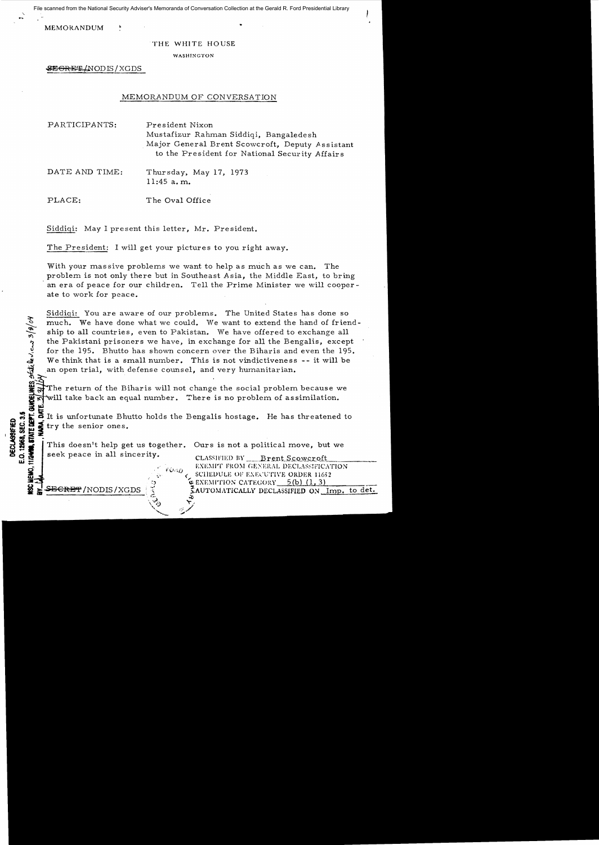File scanned from the National Security Adviser's Memoranda of Conversation Collection at the Gerald R. Ford Presidential Library

MEMORANDUM

## THE WHITE HOUSE

WASHINGTON

\$E<del>GRET</del> (NOD IS / XGDS

## MEMORANDUM OF CONVERSATION

| PARTICIPANTS:  | President Nixon<br>Mustafizur Rahman Siddiqi, Bangaledesh<br>Major General Brent Scowcroft, Deputy Assistant<br>to the President for National Security Affairs |
|----------------|----------------------------------------------------------------------------------------------------------------------------------------------------------------|
| DATE AND TIME: | Thursday, May 17, 1973<br>$11:45$ a.m.                                                                                                                         |
| PLACE:         | The Oval Office                                                                                                                                                |

Siddiqi: May I present this letter, Mr. President.

The President: I will get your pictures to you right away.

With your massive problems we want to help as much as we can. The problem is not only there but in Southeast A sia, the Middle East, to bring an era of peace for our children. Tell the Prime Minister we will cooperate to work for peace.

Siddiqi: You are aware of our problems. The United States has done so much. We have done what we could. We want to extend the hand of friend-<br>ship to all countries, even to Pakistan. We have offered to exchange all the Pakistani prisoners we have, in exchange for all the Bengalis, except for the 195. Bhutto has shown concern over the Biharis and even the 195. We think that is a small number. This is not vindictiveness -- it will be an open trial, with defense counsel, and very humanitarian.

The return of the Biharis will not change the social problem because we is no will take back an equal number. There is no problem of assimilation. will take back an equal number. There is no problem of assimilation.

Solution of the senior ones.<br>
Solution of try the senior ones.<br>
Solution of the senior ones.<br>
Solution of the senior ones.<br>
Solution of the senior help get us together. Ours is not a political move, but we<br>
seek peace in a try the senior ones.

This doesn't help get us together. Ours is not a political move, but we  $\frac{1}{2}$  seek peace in all sincerity.<br> **with the Second Scoweroft**<br> **with the CLASSIFIED BY** Brent Scoweroft

> ~⊽  $\tilde{\tau'}$ :~./

**GUNDELINES** State levicus 3/8/04

"\_ . EXE~Wr FRO'I (;E:'-:ERAL DECL.-\S:;IFIC1\TION a ',' tl,.l,-iQ ( SClILWULE OF E.\El'l]Tl\'g ORDER 116)2 .

 $\frac{SEGREF}{NODIS}/XGDS$  in  $\frac{S}{N}$  is automatically declassified on Imp. to det.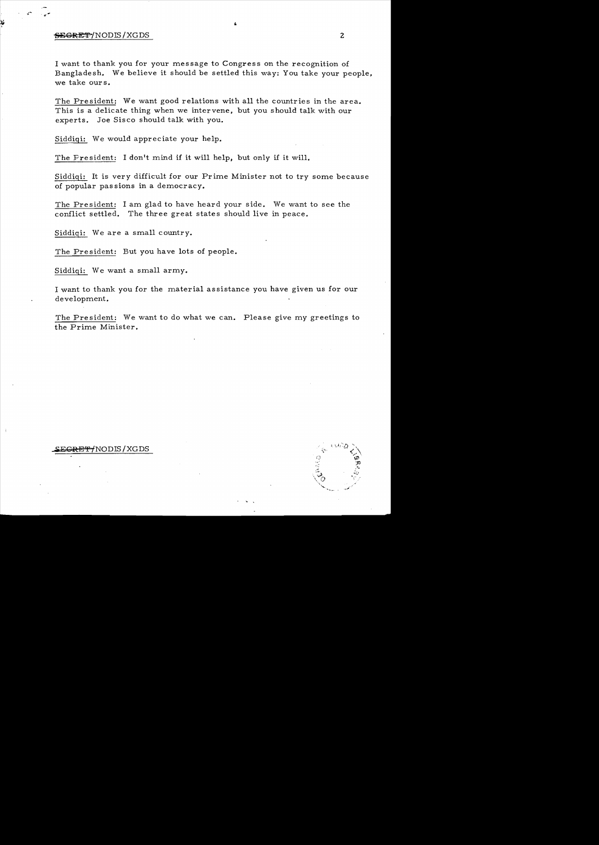## <del>SECRET</del>/NODIS/XGDS 2

I want to thank you for your message to Congress on the recognition of Bangladesh. We believe it should be settled this way: You take your people, we take ours.

The President: We want good relations with all the countries in the area. This is a delicate thing when we intervene, but you should talk with our experts. Joe Sisco should talk with you.

Siddiqi: We would appreciate your help.

The President: I don't mind if it will help, but only if it will.

Siddiqi: It is very difficult for our Prime Minister not to try some because of popular pas sions in a democracy.

The President: I am glad to have heard your side. We want to see the conflict settled. The three great states should live in peace.

Siddiqi: We are a small country.

The President: But you have lots of people.

Siddiqi: We want a small army.

I want to thank you for the material as sistance you have given us for our development.

The President: We want to do what we can. Please give my greetings to the Prime Minister.

## <del>ECRET/</del>NODIS/XGDS

 $\ddot{\ddot{\zeta}}$  $\cdot \frac{1}{\sqrt{2}}$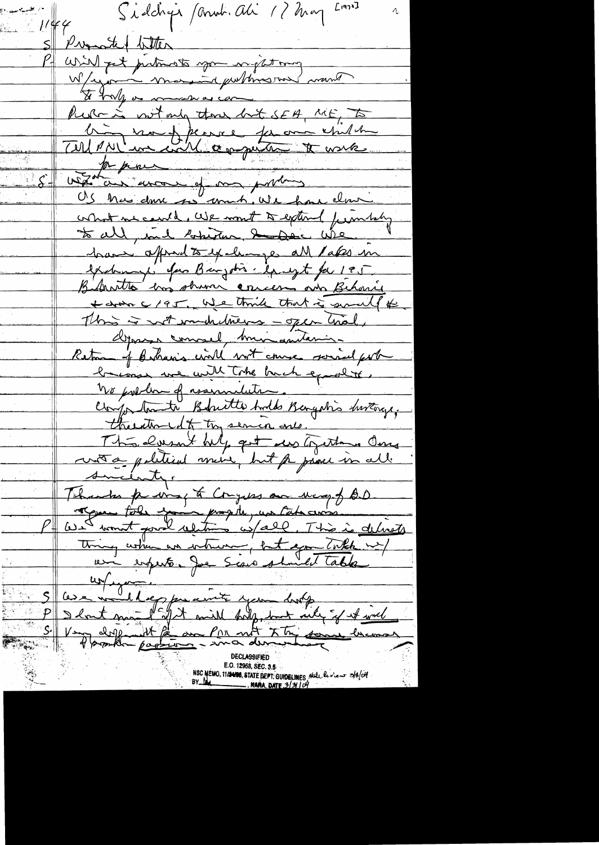$L$ 1972] S'iddigir formir. Ali 17 may  $1144$ S Promote titler will get putnosts you injection W/rjann mon in puttinsson mant Pure is not only those but SEA, ME, to Unit vous france for an estate what we could, We won't to extend from they to all, and boketur. I have wie have april to exclumps all lakes in exchange for Banjohn change for 195 Bedrotto has observe concer and Behavie + dran c/95, We think that is small to This is not undertweens - open that, depara concel hui antanis. Return of Bahanis will not course sorried port brease we will Take back exactly. We prelom of assumedation. compostante Bakette Andes Bengaris Inverge, therethought try semin one. The case bulg get us together One wrong political moine, but for passer in all. sucienty. Thanks priving to Congress on Mary of BD regue tole en propile, un cataloris thing when an intrum, but you take my ai experter Jue Scare should table 5 avec melleggemeinte your dans et avec Very defficient factor and the same lacos NSC MEMO, 11/24/08, STATE DEPT. GUIDELINES, State le viens 3/8/04 NARA DATE 3/3104